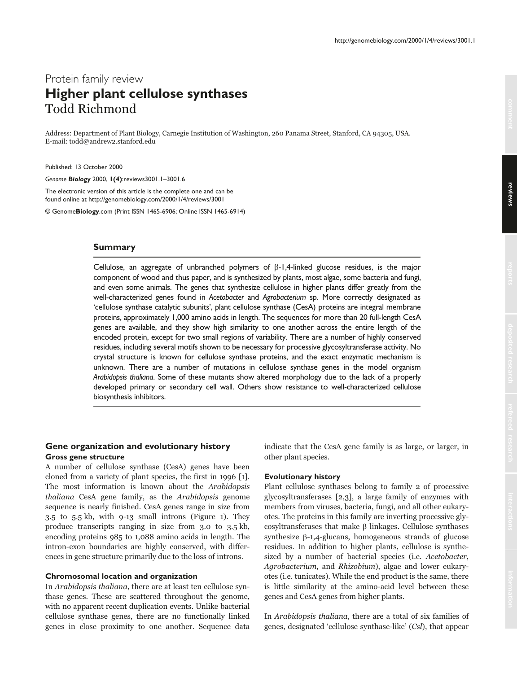# Protein family review **Higher plant cellulose synthases** Todd Richmond

Address: Department of Plant Biology, Carnegie Institution of Washington, 260 Panama Street, Stanford, CA 94305, USA. E-mail: todd@andrew2.stanford.edu

Published: 13 October 2000

*Genome Biology* 2000, **1(4)**:reviews3001.1–3001.6

The electronic version of this article is the complete one and can be found online at http://genomebiology.com/2000/1/4/reviews/3001

© Genome**Biology**.com (Print ISSN 1465-6906; Online ISSN 1465-6914)

## **Summary**

Cellulose, an aggregate of unbranched polymers of  $\beta$ -1,4-linked glucose residues, is the major component of wood and thus paper, and is synthesized by plants, most algae, some bacteria and fungi, and even some animals. The genes that synthesize cellulose in higher plants differ greatly from the well-characterized genes found in *Acetobacter* and *Agrobacterium* sp. More correctly designated as 'cellulose synthase catalytic subunits', plant cellulose synthase (CesA) proteins are integral membrane proteins, approximately 1,000 amino acids in length. The sequences for more than 20 full-length CesA genes are available, and they show high similarity to one another across the entire length of the encoded protein, except for two small regions of variability. There are a number of highly conserved residues, including several motifs shown to be necessary for processive glycosyltransferase activity. No crystal structure is known for cellulose synthase proteins, and the exact enzymatic mechanism is unknown. There are a number of mutations in cellulose synthase genes in the model organism *Arabidopsis thaliana*. Some of these mutants show altered morphology due to the lack of a properly developed primary or secondary cell wall. Others show resistance to well-characterized cellulose biosynthesis inhibitors.

# **Gene organization and evolutionary history Gross gene structure**

A number of cellulose synthase (CesA) genes have been cloned from a variety of plant species, the first in 1996 [1]. The most information is known about the *Arabidopsis thaliana* CesA gene family, as the *Arabidopsis* genome sequence is nearly finished. CesA genes range in size from 3.5 to 5.5 kb, with 9-13 small introns (Figure 1). They produce transcripts ranging in size from 3.0 to 3.5 kb, encoding proteins 985 to 1,088 amino acids in length. The intron-exon boundaries are highly conserved, with differences in gene structure primarily due to the loss of introns.

## **Chromosomal location and organization**

In Arabidopsis thaliana, there are at least ten cellulose synthase genes. These are scattered throughout the genome, with no apparent recent duplication events. Unlike bacterial cellulose synthase genes, there are no functionally linked genes in close proximity to one another. Sequence data indicate that the CesA gene family is as large, or larger, in other plant species.

#### **Evolutionary history**

Plant cellulose synthases belong to family 2 of processive glycosyltransferases [2,3], a large family of enzymes with members from viruses, bacteria, fungi, and all other eukaryotes. The proteins in this family are inverting processive gly- $\operatorname{cosyltransferases}$  that make  $\beta$  linkages. Cellulose synthases  $synthesize$   $\beta$ -1,4-glucans, homogeneous strands of glucose residues. In addition to higher plants, cellulose is synthesized by a number of bacterial species (i.e. Acetobacter, Agrobacterium, and *Rhizobium*), algae and lower eukaryotes (i.e. tunicates). While the end product is the same, there is little similarity at the amino-acid level between these genes and CesA genes from higher plants.

In Arabidopsis thaliana, there are a total of six families of genes, designated 'cellulose synthase-like' (Csl), that appear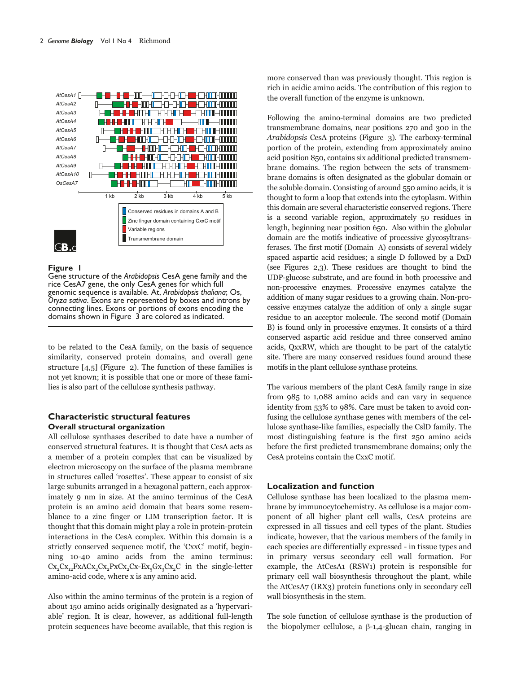

#### **Figure 1**

Gene structure of the *Arabidopsis* CesA gene family and the rice CesA7 gene, the only CesA genes for which full genomic sequence is available. At, *Arabidopsis thaliana*; Os, *Oryza sativa*. Exons are represented by boxes and introns by connecting lines. Exons or portions of exons encoding the domains shown in Figure 3 are colored as indicated.

to be related to the CesA family, on the basis of sequence similarity, conserved protein domains, and overall gene structure  $[4,5]$  (Figure 2). The function of these families is not yet known; it is possible that one or more of these families is also part of the cellulose synthesis pathway.

# **Characteristic structural features Overall structural organization**

All cellulose synthases described to date have a number of conserved structural features. It is thought that CesA acts as a member of a protein complex that can be visualized by electron microscopy on the surface of the plasma membrane in structures called 'rosettes'. These appear to consist of six large subunits arranged in a hexagonal pattern, each approximately 9 nm in size. At the amino terminus of the CesA protein is an amino acid domain that bears some resemblance to a zinc finger or LIM transcription factor. It is thought that this domain might play a role in protein-protein interactions in the CesA complex. Within this domain is a strictly conserved sequence motif, the 'CxxC' motif, beginning 10-40 amino acids from the amino terminus:  $Cx_2Cx_{12}FxACx_2Cx_2PxCx_2Cx-Ex_5Gx_3Cx_2C$  in the single-letter amino-acid code, where x is any amino acid.

Also within the amino terminus of the protein is a region of about 150 amino acids originally designated as a 'hypervariable' region. It is clear, however, as additional full-length protein sequences have become available, that this region is more conserved than was previously thought. This region is rich in acidic amino acids. The contribution of this region to the overall function of the enzyme is unknown.

Following the amino-terminal domains are two predicted transmembrane domains, near positions 270 and 300 in the Arabidopsis CesA proteins (Figure 3). The carboxy-terminal portion of the protein, extending from approximately amino acid position 850, contains six additional predicted transmembrane domains. The region between the sets of transmembrane domains is often designated as the globular domain or the soluble domain. Consisting of around 550 amino acids, it is thought to form a loop that extends into the cytoplasm. Within this domain are several characteristic conserved regions. There is a second variable region, approximately 50 residues in length, beginning near position 650. Also within the globular domain are the motifs indicative of processive glycosyltransferases. The first motif (Domain A) consists of several widely spaced aspartic acid residues; a single  ${\rm D}$  followed by a  ${\rm DxD}$ (see Figures 2,3). These residues are thought to bind the UDP-glucose substrate, and are found in both processive and non-processive enzymes. Processive enzymes catalyze the addition of many sugar residues to a growing chain. Non-processive enzymes catalyze the addition of only a single sugar residue to an acceptor molecule. The second motif (Domain B) is found only in processive enzymes. It consists of a third conserved aspartic acid residue and three conserved amino acids, QxxRW, which are thought to be part of the catalytic site. There are many conserved residues found around these motifs in the plant cellulose synthase proteins.

The various members of the plant CesA family range in size from 985 to 1,088 amino acids and can vary in sequence identity from 53% to 98%. Care must be taken to avoid confusing the cellulose synthase genes with members of the cellulose synthase-like families, especially the CslD family. The most distinguishing feature is the first 250 amino acids before the first predicted transmembrane domains; only the CesA proteins contain the CxxC motif.

#### **Localization and function**

Cellulose synthase has been localized to the plasma membrane by immunocytochemistry. As cellulose is a major component of all higher plant cell walls, CesA proteins are expressed in all tissues and cell types of the plant. Studies indicate, however, that the various members of the family in each species are differentially expressed - in tissue types and in primary versus secondary cell wall formation. For example, the AtCesA1 (RSW1) protein is responsible for primary cell wall biosynthesis throughout the plant, while the AtCesA7 (IRX3) protein functions only in secondary cell wall biosynthesis in the stem.

The sole function of cellulose synthase is the production of the biopolymer cellulose, a  $\beta$ -1,4-glucan chain, ranging in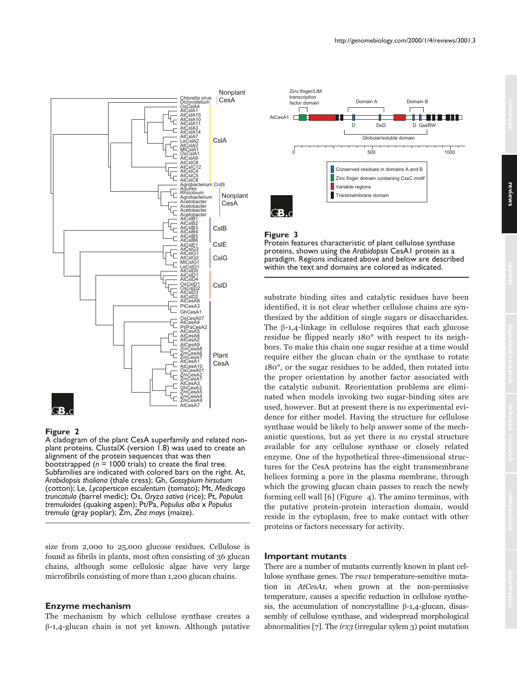

## **Figure 2**

A cladogram of the plant CesA superfamily and related nonplant proteins. ClustalX (version 1.8) was used to create an alignment of the protein sequences that was then bootstrapped  $(n = 1000 \text{ trials})$  to create the final tree. Subfamilies are indicated with colored bars on the right. At, *Arabidopsis thaliana* (thale cress); Gh, *Gossypium hirsutum* (cotton); Le, *Lycopersicon esculentum* (tomato); Mt, *Medicago truncatula* (barrel medic); Os, *Oryza sativa* (rice); Pt, *Populus tremuloides* (quaking aspen); Pt/Pa, *Populus alba* x *Populus tremula* (gray poplar); Zm, *Zea mays* (maize).

size from 2,000 to 25,000 glucose residues. Cellulose is found as fibrils in plants, most often consisting of 36 glucan chains, although some cellulosic algae have very large microfibrils consisting of more than 1,200 glucan chains.

## **Enzyme mechanism**

The mechanism by which cellulose synthase creates a β-1,4-glucan chain is not yet known. Although putative



#### **Figure 3**

Protein features characteristic of plant cellulose synthase proteins, shown using the *Arabidopsis* CesA1 protein as a paradigm. Regions indicated above and below are described within the text and domains are colored as indicated.

substrate binding sites and catalytic residues have been identified, it is not clear whether cellulose chains are synthesized by the addition of single sugars or disaccharides. The  $\upbeta$ -1,4-linkage in cellulose requires that each glucose residue be flipped nearly 180° with respect to its neighbors. To make this chain one sugar residue at a time would require either the glucan chain or the synthase to rotate 180°, or the sugar residues to be added, then rotated into the proper orientation by another factor associated with the catalytic subunit. Reorientation problems are eliminated when models invoking two sugar-binding sites are used, however. But at present there is no experimental evidence for either model. Having the structure for cellulose synthase would be likely to help answer some of the mechanistic questions, but as yet there is no crystal structure available for any cellulose synthase or closely related enzyme. One of the hypothetical three-dimensional structures for the CesA proteins has the eight transmembrane helices forming a pore in the plasma membrane, through which the growing glucan chain passes to reach the newly forming cell wall [6] (Figure  $\,$  4). The amino terminus, with the putative protein-protein interaction domain, would reside in the cytoplasm, free to make contact with other proteins or factors necessary for activity.

#### **Important mutants**

There are a number of mutants currently known in plant cellulose synthase genes. The *rsw1* temperature-sensitive mutation in AtCesA1, when grown at the non-permissive temperature, causes a specific reduction in cellulose synthesis, the accumulation of noncrystalline  $\beta$ -1,4-glucan, disassembly of cellulose synthase, and widespread morphological abnormalities [7]. The *irx3* (irregular xylem 3) point mutation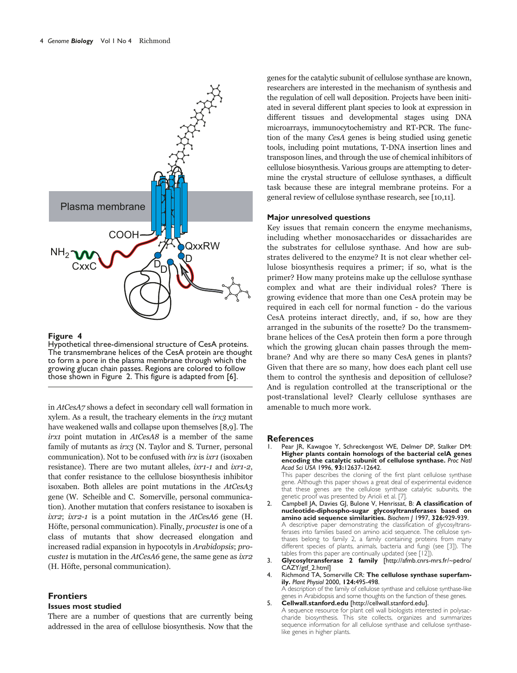

#### **Figure 4**

Hypothetical three-dimensional structure of CesA proteins. The transmembrane helices of the CesA protein are thought to form a pore in the plasma membrane through which the growing glucan chain passes. Regions are colored to follow those shown in Figure 2. This figure is adapted from [6].

in  $\textit{AtCes}A7$  shows a defect in secondary cell wall formation in xylem. As a result, the tracheary elements in the  $irx3$  mutant have weakened walls and collapse upon themselves [8,9]. The *irx1* point mutation in *AtCesA8* is a member of the same family of mutants as irx3 (N. Taylor and S. Turner, personal communication). Not to be confused with *irx* is *ixr1* (isoxaben resistance). There are two mutant alleles, *ixr1-1* and *ixr1-2*, that confer resistance to the cellulose biosynthesis inhibitor isoxaben. Both alleles are point mutations in the AtCesA3 gene (W. Scheible and C. Somerville, personal communication). Another mutation that confers resistance to isoxaben is  $\alpha$  is a point mutation in the AtCesA6 gene (H. Höfte, personal communication). Finally, *procuste1* is one of a class of mutants that show decreased elongation and increased radial expansion in hypocotyls in Arabidopsis; procustet is mutation in the  $AtCesA6$  gene, the same gene as  $ixr2$ (H. Höfte, personal communication).

# **Frontiers**

#### **Issues most studied**

There are a number of questions that are currently being addressed in the area of cellulose biosynthesis. Now that the genes for the catalytic subunit of cellulose synthase are known, researchers are interested in the mechanism of synthesis and the regulation of cell wall deposition. Projects have been initiated in several different plant species to look at expression in different tissues and developmental stages using DNA microarrays, immunocytochemistry and RT-PCR. The function of the many CesA genes is being studied using genetic tools, including point mutations, T-DNA insertion lines and transposon lines, and through the use of chemical inhibitors of cellulose biosynthesis. Various groups are attempting to determine the crystal structure of cellulose synthases, a difficult task because these are integral membrane proteins. For a general review of cellulose synthase research, see [10,11].

## **Major unresolved questions**

Key issues that remain concern the enzyme mechanisms, including whether monosaccharides or dissacharides are the substrates for cellulose synthase. And how are substrates delivered to the enzyme? It is not clear whether cellulose biosynthesis requires a primer; if so, what is the primer? How many proteins make up the cellulose synthase complex and what are their individual roles? There is growing evidence that more than one CesA protein may be required in each cell for normal function - do the various CesA proteins interact directly, and, if so, how are they arranged in the subunits of the rosette? Do the transmembrane helices of the CesA protein then form a pore through which the growing glucan chain passes through the membrane? And why are there so many CesA genes in plants? Given that there are so many, how does each plant cell use them to control the synthesis and deposition of cellulose? And is regulation controlled at the transcriptional or the post-translational level? Clearly cellulose synthases are amenable to much more work.

#### **References**

Pear JR, Kawagoe Y, Schreckengost WE, Delmer DP, Stalker DM: **Higher plants contain homologs of the bacterial celA genes encoding the catalytic subunit of cellulose synthase.** *Proc Natl Acad Sci USA* 1996, **93:**12637-12642.

This paper describes the cloning of the first plant cellulose synthase gene. Although this paper shows a great deal of experimental evidence that these genes are the cellulose synthase catalytic subunits, the genetic proof was presented by Arioli et al. [7].

2. Campbell JA, Davies GJ, Bulone V, Henrissat, B: **A classification of nucleotide-diphospho-sugar glycosyltransferases based on amino acid sequence similarities.** *Biochem J* 1997, **326:**929-939. A descriptive paper demonstrating the classification of glycosyltransferases into families based on amino acid sequence. The cellulose synthases belong to family 2, a family containing proteins from many different species of plants, animals, bacteria and fungi (see [3]). The tables from this paper are continually updated (see [12]).

- 3. **Glycosyltransferase 2 family** [http://afmb.cnrs-mrs.fr/~pedro/ CAZY/gtf\_2.html]
- 4. Richmond TA, Somerville CR: **The cellulose synthase superfamily.** *Plant Physiol* 2000, **124:**495-498. A description of the family of cellulose synthase and cellulose synthase-like
- genes in Arabidopsis and some thoughts on the function of these genes. 5. **Cellwall.stanford.edu** [http://cellwall.stanford.edu]. A sequence resource for plant cell wall biologists interested in polysac-

charide biosynthesis. This site collects, organizes and summarizes sequence information for all cellulose synthase and cellulose synthaselike genes in higher plants.